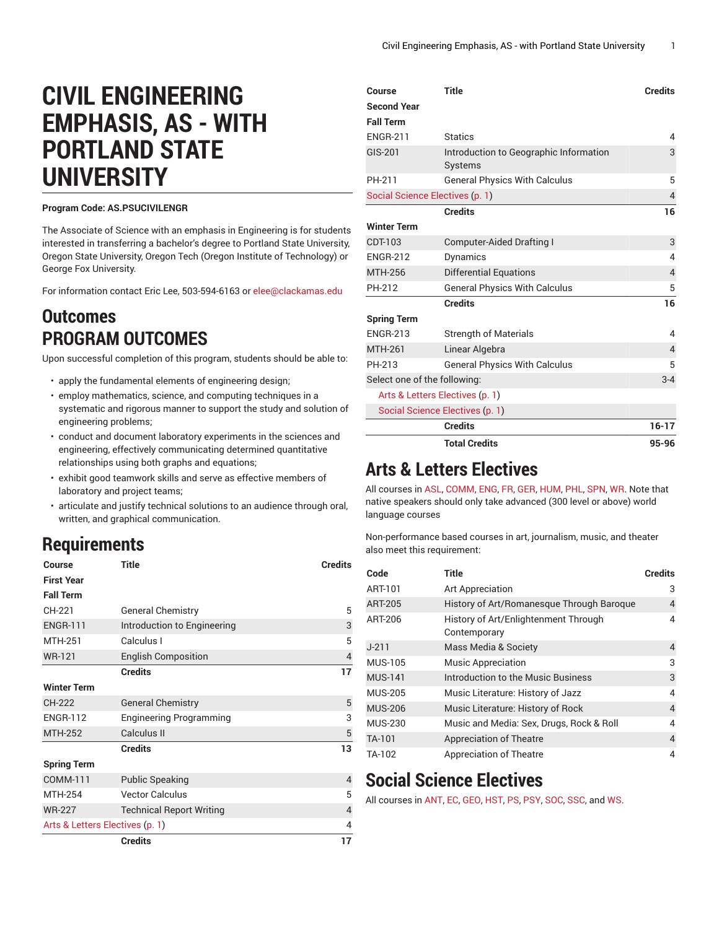# **CIVIL ENGINEERING EMPHASIS, AS - WITH PORTLAND STATE UNIVERSITY**

#### **Program Code: AS.PSUCIVILENGR**

The Associate of Science with an emphasis in Engineering is for students interested in transferring a bachelor's degree to Portland State University, Oregon State University, Oregon Tech (Oregon Institute of Technology) or George Fox University.

For information contact Eric Lee, 503-594-6163 or [elee@clackamas.edu](mailto:elee@clackamas.edu)

## **Outcomes PROGRAM OUTCOMES**

Upon successful completion of this program, students should be able to:

- apply the fundamental elements of engineering design;
- employ mathematics, science, and computing techniques in a systematic and rigorous manner to support the study and solution of engineering problems;
- conduct and document laboratory experiments in the sciences and engineering, effectively communicating determined quantitative relationships using both graphs and equations;
- exhibit good teamwork skills and serve as effective members of laboratory and project teams;
- articulate and justify technical solutions to an audience through oral, written, and graphical communication.

#### **Requirements**

| Course                          | <b>Title</b>                    | <b>Credits</b> |
|---------------------------------|---------------------------------|----------------|
| <b>First Year</b>               |                                 |                |
| <b>Fall Term</b>                |                                 |                |
| CH-221                          | <b>General Chemistry</b>        | 5              |
| <b>ENGR-111</b>                 | Introduction to Engineering     | 3              |
| <b>MTH-251</b>                  | Calculus I                      | 5              |
| <b>WR-121</b>                   | <b>English Composition</b>      | $\overline{4}$ |
|                                 | <b>Credits</b>                  | 17             |
| <b>Winter Term</b>              |                                 |                |
| CH-222                          | <b>General Chemistry</b>        | 5              |
| <b>ENGR-112</b>                 | <b>Engineering Programming</b>  | 3              |
| <b>MTH-252</b>                  | Calculus II                     | 5              |
|                                 | <b>Credits</b>                  | 13             |
| <b>Spring Term</b>              |                                 |                |
| COMM-111                        | <b>Public Speaking</b>          | $\overline{4}$ |
| <b>MTH-254</b>                  | <b>Vector Calculus</b>          | 5              |
| <b>WR-227</b>                   | <b>Technical Report Writing</b> | $\overline{4}$ |
| Arts & Letters Electives (p. 1) |                                 | 4              |
|                                 | <b>Credits</b>                  | 17             |

| Course                          | <b>Title</b>                                      | <b>Credits</b> |
|---------------------------------|---------------------------------------------------|----------------|
| <b>Second Year</b>              |                                                   |                |
| <b>Fall Term</b>                |                                                   |                |
| <b>ENGR-211</b>                 | <b>Statics</b>                                    | 4              |
| <b>GIS-201</b>                  | Introduction to Geographic Information<br>Systems | 3              |
| PH-211                          | <b>General Physics With Calculus</b>              | 5              |
| Social Science Electives (p. 1) |                                                   |                |
|                                 | <b>Credits</b>                                    | 16             |
| <b>Winter Term</b>              |                                                   |                |
| CDT-103                         | Computer-Aided Drafting I                         | 3              |
| <b>ENGR-212</b>                 | Dynamics                                          | 4              |
| <b>MTH-256</b>                  | <b>Differential Equations</b>                     | $\overline{4}$ |
| PH-212                          | <b>General Physics With Calculus</b>              | 5              |
|                                 | <b>Credits</b>                                    | 16             |
| <b>Spring Term</b>              |                                                   |                |
| <b>ENGR-213</b>                 | <b>Strength of Materials</b>                      | 4              |
| <b>MTH-261</b>                  | Linear Algebra                                    | $\overline{4}$ |
| PH-213                          | <b>General Physics With Calculus</b>              | 5              |
| Select one of the following:    |                                                   | $3 - 4$        |
|                                 | Arts & Letters Electives (p. 1)                   |                |
|                                 | Social Science Electives (p. 1)                   |                |
|                                 | <b>Credits</b>                                    | $16 - 17$      |
|                                 | <b>Total Credits</b>                              | 95-96          |

## <span id="page-0-0"></span>**Arts & Letters Electives**

All courses in [ASL](https://catalog.clackamas.edu/course-descriptions/asl/), [COMM](https://catalog.clackamas.edu/course-descriptions/comm/), [ENG,](https://catalog.clackamas.edu/course-descriptions/eng/) [FR](https://catalog.clackamas.edu/course-descriptions/fr/), [GER](https://catalog.clackamas.edu/course-descriptions/ger/), [HUM,](https://catalog.clackamas.edu/course-descriptions/hum/) [PHL,](https://catalog.clackamas.edu/course-descriptions/phl/) [SPN,](https://catalog.clackamas.edu/course-descriptions/spn/) [WR.](https://catalog.clackamas.edu/course-descriptions/wr/) Note that native speakers should only take advanced (300 level or above) world language courses

Non-performance based courses in art, journalism, music, and theater also meet this requirement:

| Code           | <b>Title</b>                                         | <b>Credits</b> |
|----------------|------------------------------------------------------|----------------|
| ART-101        | Art Appreciation                                     | 3              |
| <b>ART-205</b> | History of Art/Romanesque Through Baroque            | $\overline{4}$ |
| ART-206        | History of Art/Enlightenment Through<br>Contemporary | 4              |
| $J-211$        | Mass Media & Society                                 | 4              |
| <b>MUS-105</b> | <b>Music Appreciation</b>                            | 3              |
| <b>MUS-141</b> | Introduction to the Music Business                   | 3              |
| <b>MUS-205</b> | Music Literature: History of Jazz                    | 4              |
| <b>MUS-206</b> | Music Literature: History of Rock                    | 4              |
| <b>MUS-230</b> | Music and Media: Sex, Drugs, Rock & Roll             | 4              |
| TA-101         | <b>Appreciation of Theatre</b>                       | 4              |
| TA-102         | <b>Appreciation of Theatre</b>                       | 4              |

### <span id="page-0-1"></span>**Social Science Electives**

All courses in [ANT](https://catalog.clackamas.edu/course-descriptions/ant/), [EC](https://catalog.clackamas.edu/course-descriptions/ec/), [GEO,](https://catalog.clackamas.edu/course-descriptions/geo/) [HST,](https://catalog.clackamas.edu/course-descriptions/hst/) [PS](https://catalog.clackamas.edu/course-descriptions/ps/), [PSY,](https://catalog.clackamas.edu/course-descriptions/psy/) [SOC,](https://catalog.clackamas.edu/course-descriptions/soc/) [SSC](https://catalog.clackamas.edu/course-descriptions/ssc/), and [WS](https://catalog.clackamas.edu/course-descriptions/ws/).